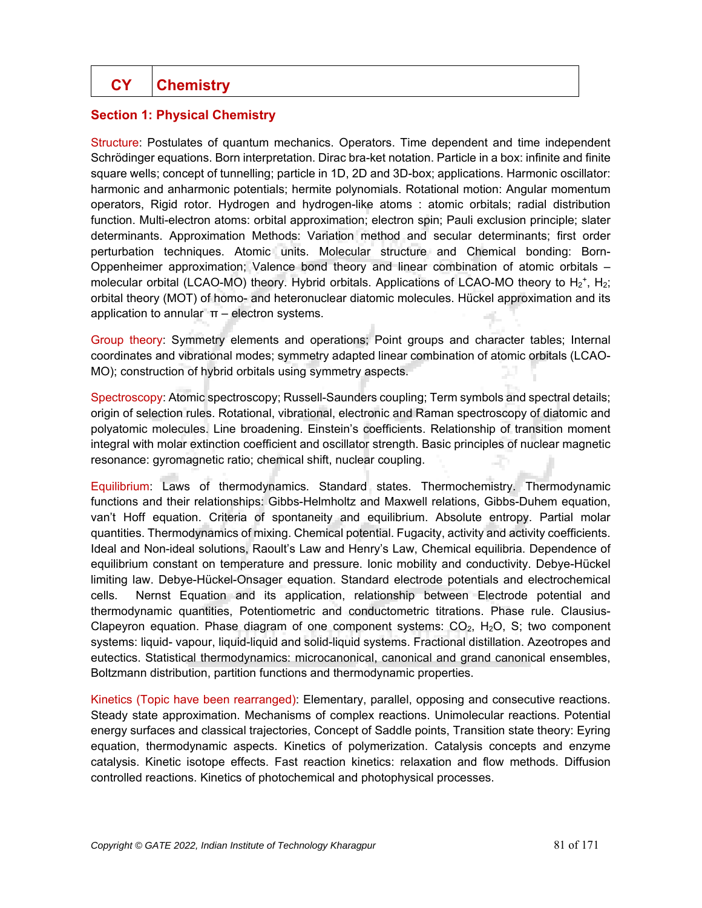## **Section 1: Physical Chemistry**

Structure: Postulates of quantum mechanics. Operators. Time dependent and time independent Schrödinger equations. Born interpretation. Dirac bra-ket notation. Particle in a box: infinite and finite square wells; concept of tunnelling; particle in 1D, 2D and 3D-box; applications. Harmonic oscillator: harmonic and anharmonic potentials; hermite polynomials. Rotational motion: Angular momentum operators, Rigid rotor. Hydrogen and hydrogen-like atoms : atomic orbitals; radial distribution function. Multi-electron atoms: orbital approximation; electron spin; Pauli exclusion principle; slater determinants. Approximation Methods: Variation method and secular determinants; first order perturbation techniques. Atomic units. Molecular structure and Chemical bonding: Born-Oppenheimer approximation; Valence bond theory and linear combination of atomic orbitals – molecular orbital (LCAO-MO) theory. Hybrid orbitals. Applications of LCAO-MO theory to  $H_2^*$ ,  $H_2$ ; orbital theory (MOT) of homo- and heteronuclear diatomic molecules. Hückel approximation and its application to annular  $\pi$  – electron systems.

Group theory: Symmetry elements and operations; Point groups and character tables; Internal coordinates and vibrational modes; symmetry adapted linear combination of atomic orbitals (LCAO-MO); construction of hybrid orbitals using symmetry aspects.

Spectroscopy: Atomic spectroscopy; Russell-Saunders coupling; Term symbols and spectral details; origin of selection rules. Rotational, vibrational, electronic and Raman spectroscopy of diatomic and polyatomic molecules. Line broadening. Einstein's coefficients. Relationship of transition moment integral with molar extinction coefficient and oscillator strength. Basic principles of nuclear magnetic resonance: gyromagnetic ratio; chemical shift, nuclear coupling.

Equilibrium: Laws of thermodynamics. Standard states. Thermochemistry. Thermodynamic functions and their relationships: Gibbs-Helmholtz and Maxwell relations, Gibbs-Duhem equation, van't Hoff equation. Criteria of spontaneity and equilibrium. Absolute entropy. Partial molar quantities. Thermodynamics of mixing. Chemical potential. Fugacity, activity and activity coefficients. Ideal and Non-ideal solutions, Raoult's Law and Henry's Law, Chemical equilibria. Dependence of equilibrium constant on temperature and pressure. Ionic mobility and conductivity. Debye-Hückel limiting law. Debye-Hückel-Onsager equation. Standard electrode potentials and electrochemical cells. Nernst Equation and its application, relationship between Electrode potential and thermodynamic quantities, Potentiometric and conductometric titrations. Phase rule. Clausius-Clapeyron equation. Phase diagram of one component systems:  $CO<sub>2</sub>$ , H<sub>2</sub>O, S; two component systems: liquid- vapour, liquid-liquid and solid-liquid systems. Fractional distillation. Azeotropes and eutectics. Statistical thermodynamics: microcanonical, canonical and grand canonical ensembles, Boltzmann distribution, partition functions and thermodynamic properties.

Kinetics (Topic have been rearranged): Elementary, parallel, opposing and consecutive reactions. Steady state approximation. Mechanisms of complex reactions. Unimolecular reactions. Potential energy surfaces and classical trajectories, Concept of Saddle points, Transition state theory: Eyring equation, thermodynamic aspects. Kinetics of polymerization. Catalysis concepts and enzyme catalysis. Kinetic isotope effects. Fast reaction kinetics: relaxation and flow methods. Diffusion controlled reactions. Kinetics of photochemical and photophysical processes.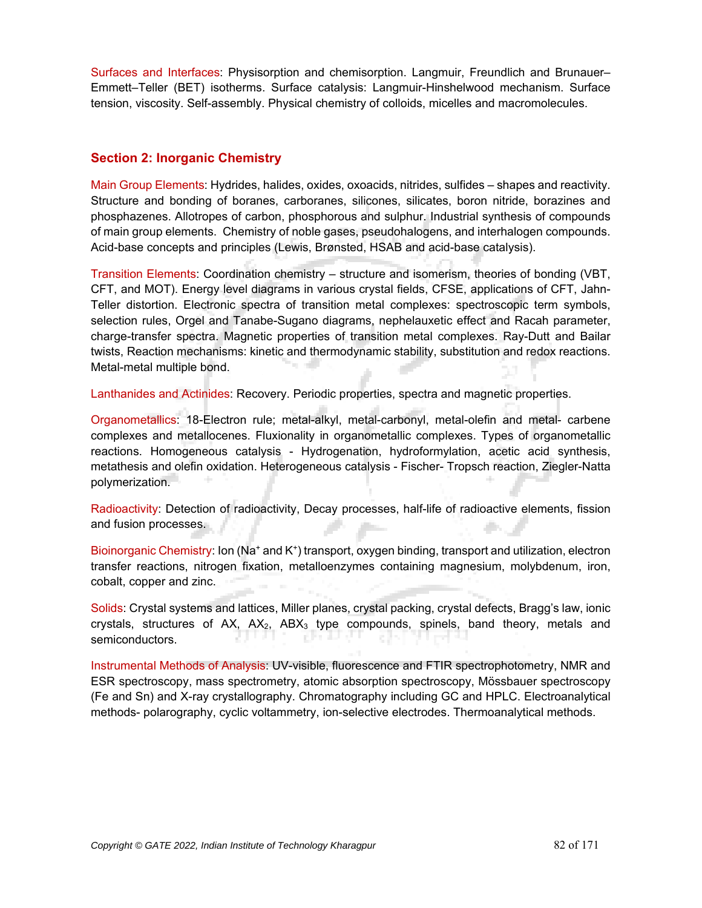Surfaces and Interfaces: Physisorption and chemisorption. Langmuir, Freundlich and Brunauer– Emmett–Teller (BET) isotherms. Surface catalysis: Langmuir-Hinshelwood mechanism. Surface tension, viscosity. Self-assembly. Physical chemistry of colloids, micelles and macromolecules.

## **Section 2: Inorganic Chemistry**

Main Group Elements: Hydrides, halides, oxides, oxoacids, nitrides, sulfides – shapes and reactivity. Structure and bonding of boranes, carboranes, silicones, silicates, boron nitride, borazines and phosphazenes. Allotropes of carbon, phosphorous and sulphur. Industrial synthesis of compounds of main group elements. Chemistry of noble gases, pseudohalogens, and interhalogen compounds. Acid-base concepts and principles (Lewis, Brønsted, HSAB and acid-base catalysis).

Transition Elements: Coordination chemistry – structure and isomerism, theories of bonding (VBT, CFT, and MOT). Energy level diagrams in various crystal fields, CFSE, applications of CFT, Jahn-Teller distortion. Electronic spectra of transition metal complexes: spectroscopic term symbols, selection rules, Orgel and Tanabe-Sugano diagrams, nephelauxetic effect and Racah parameter, charge-transfer spectra. Magnetic properties of transition metal complexes. Ray-Dutt and Bailar twists, Reaction mechanisms: kinetic and thermodynamic stability, substitution and redox reactions. Metal-metal multiple bond.

Lanthanides and Actinides: Recovery. Periodic properties, spectra and magnetic properties.

Organometallics: 18-Electron rule; metal-alkyl, metal-carbonyl, metal-olefin and metal- carbene complexes and metallocenes. Fluxionality in organometallic complexes. Types of organometallic reactions. Homogeneous catalysis - Hydrogenation, hydroformylation, acetic acid synthesis, metathesis and olefin oxidation. Heterogeneous catalysis - Fischer- Tropsch reaction, Ziegler-Natta polymerization.

Radioactivity: Detection of radioactivity, Decay processes, half-life of radioactive elements, fission and fusion processes.

Bioinorganic Chemistry: Ion (Na<sup>+</sup> and K<sup>+</sup>) transport, oxygen binding, transport and utilization, electron transfer reactions, nitrogen fixation, metalloenzymes containing magnesium, molybdenum, iron, cobalt, copper and zinc.

Solids: Crystal systems and lattices, Miller planes, crystal packing, crystal defects, Bragg's law, ionic crystals, structures of  $AX$ ,  $AX_2$ ,  $ABX_3$  type compounds, spinels, band theory, metals and semiconductors.

Instrumental Methods of Analysis: UV-visible, fluorescence and FTIR spectrophotometry, NMR and ESR spectroscopy, mass spectrometry, atomic absorption spectroscopy, Mössbauer spectroscopy (Fe and Sn) and X-ray crystallography. Chromatography including GC and HPLC. Electroanalytical methods- polarography, cyclic voltammetry, ion-selective electrodes. Thermoanalytical methods.